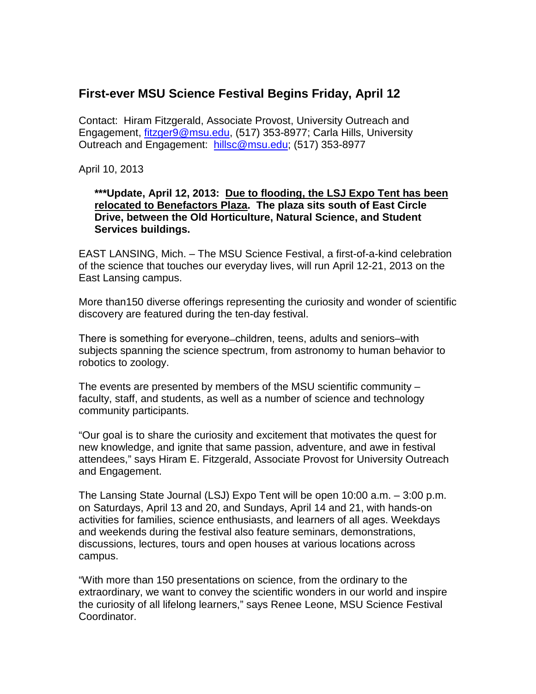## **First-ever MSU Science Festival Begins Friday, April 12**

Contact: Hiram Fitzgerald, Associate Provost, University Outreach and Engagement, [fitzger9@msu.edu,](mailto:fitzger9@msu.edu) (517) 353-8977; Carla Hills, University Outreach and Engagement: [hillsc@msu.edu;](mailto:hillsc@msu.edu) (517) 353-8977

April 10, 2013

## **\*\*\*Update, April 12, 2013: Due to flooding, the LSJ Expo Tent has been relocated to Benefactors Plaza. The plaza sits south of East Circle Drive, between the Old Horticulture, Natural Science, and Student Services buildings.**

EAST LANSING, Mich. – The MSU Science Festival, a first-of-a-kind celebration of the science that touches our everyday lives, will run April 12-21, 2013 on the East Lansing campus.

More than150 diverse offerings representing the curiosity and wonder of scientific discovery are featured during the ten-day festival.

There is something for everyone ̶ children, teens, adults and seniors–with subjects spanning the science spectrum, from astronomy to human behavior to robotics to zoology.

The events are presented by members of the MSU scientific community – faculty, staff, and students, as well as a number of science and technology community participants.

"Our goal is to share the curiosity and excitement that motivates the quest for new knowledge, and ignite that same passion, adventure, and awe in festival attendees," says Hiram E. Fitzgerald, Associate Provost for University Outreach and Engagement.

The Lansing State Journal (LSJ) Expo Tent will be open 10:00 a.m. – 3:00 p.m. on Saturdays, April 13 and 20, and Sundays, April 14 and 21, with hands-on activities for families, science enthusiasts, and learners of all ages. Weekdays and weekends during the festival also feature seminars, demonstrations, discussions, lectures, tours and open houses at various locations across campus.

"With more than 150 presentations on science, from the ordinary to the extraordinary, we want to convey the scientific wonders in our world and inspire the curiosity of all lifelong learners," says Renee Leone, MSU Science Festival Coordinator.